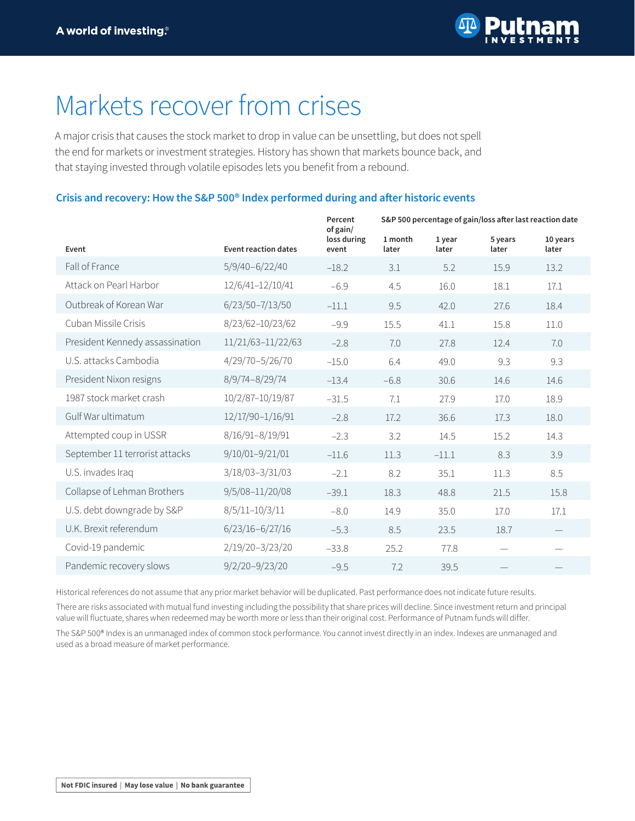

## Markets recover from crises

A major crisis that causes the stock market to drop in value can be unsettling, but does not spell the end for markets or investment strategies. History has shown that markets bounce back, and that staying invested through volatile episodes lets you benefit from a rebound.

## **Crisis and recovery: How the S&P 500® Index performed during and after historic events**

|                                 |                             | Percent<br>of gain/  | S&P 500 percentage of gain/loss after last reaction date |                 |                  |                   |
|---------------------------------|-----------------------------|----------------------|----------------------------------------------------------|-----------------|------------------|-------------------|
| Event                           | <b>Event reaction dates</b> | loss during<br>event | 1 month<br>later                                         | 1 year<br>later | 5 years<br>later | 10 years<br>later |
| Fall of France                  | $5/9/40 - 6/22/40$          | $-18.2$              | 3.1                                                      | 5.2             | 15.9             | 13.2              |
| Attack on Pearl Harbor          | 12/6/41-12/10/41            | $-6.9$               | 4.5                                                      | 16.0            | 18.1             | 17.1              |
| Outbreak of Korean War          | 6/23/50-7/13/50             | $-11.1$              | 9.5                                                      | 42.0            | 27.6             | 18.4              |
| Cuban Missile Crisis            | 8/23/62-10/23/62            | $-9.9$               | 15.5                                                     | 41.1            | 15.8             | 11.0              |
| President Kennedy assassination | 11/21/63-11/22/63           | $-2.8$               | 7.0                                                      | 27.8            | 12.4             | 7.0               |
| U.S. attacks Cambodia           | 4/29/70-5/26/70             | $-15.0$              | 6.4                                                      | 49.0            | 9.3              | 9.3               |
| President Nixon resigns         | 8/9/74-8/29/74              | $-13.4$              | $-6.8$                                                   | 30.6            | 14.6             | 14.6              |
| 1987 stock market crash         | 10/2/87-10/19/87            | $-31.5$              | 7.1                                                      | 27.9            | 17.0             | 18.9              |
| Gulf War ultimatum              | 12/17/90-1/16/91            | $-2.8$               | 17.2                                                     | 36.6            | 17.3             | 18.0              |
| Attempted coup in USSR          | 8/16/91-8/19/91             | $-2.3$               | 3.2                                                      | 14.5            | 15.2             | 14.3              |
| September 11 terrorist attacks  | 9/10/01-9/21/01             | $-11.6$              | 11.3                                                     | $-11.1$         | 8.3              | 3.9               |
| U.S. invades Iraq               | 3/18/03-3/31/03             | $-2.1$               | 8.2                                                      | 35.1            | 11.3             | 8.5               |
| Collapse of Lehman Brothers     | 9/5/08-11/20/08             | $-39.1$              | 18.3                                                     | 48.8            | 21.5             | 15.8              |
| U.S. debt downgrade by S&P      | 8/5/11-10/3/11              | $-8.0$               | 14.9                                                     | 35.0            | 17.0             | 17.1              |
| U.K. Brexit referendum          | $6/23/16 - 6/27/16$         | $-5.3$               | 8.5                                                      | 23.5            | 18.7             |                   |
| Covid-19 pandemic               | 2/19/20-3/23/20             | $-33.8$              | 25.2                                                     | 77.8            |                  |                   |
| Pandemic recovery slows         | $9/2/20 - 9/23/20$          | $-9.5$               | 7.2                                                      | 39.5            |                  |                   |

Historical references do not assume that any prior market behavior will be duplicated. Past performance does not indicate future results.

There are risks associated with mutual fund investing including the possibility that share prices will decline. Since investment return and principal value will fluctuate, shares when redeemed may be worth more or less than their original cost. Performance of Putnam funds will differ.

The S&P 500® Index is an unmanaged index of common stock performance. You cannot invest directly in an index. Indexes are unmanaged and used as a broad measure of market performance.